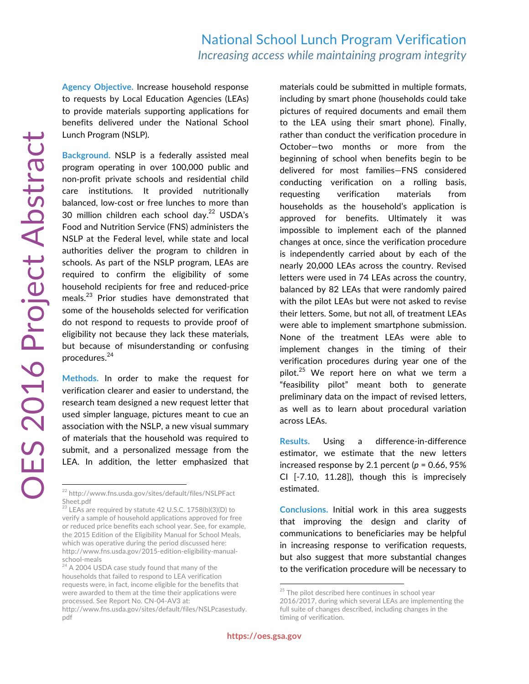**Agency Objective.** Increase household response to requests by Local Education Agencies (LEAs) to provide materials supporting applications for benefits delivered under the National School Lunch Program (NSLP).

**Background.** NSLP is a federally assisted meal program operating in over 100,000 public and non-profit private schools and residential child care institutions. It provided nutritionally balanced, low-cost or free lunches to more than 30 million children each school day.<sup>22</sup> USDA's Food and Nutrition Service (FNS) administers the NSLP at the Federal level, while state and local authorities deliver the program to children in schools. As part of the NSLP program, LEAs are required to confirm the eligibility of some household recipients for free and reduced-price meals.<sup>23</sup> Prior studies have demonstrated that some of the households selected for verification do not respond to requests to provide proof of eligibility not because they lack these materials, but because of misunderstanding or confusing procedures.<sup>24</sup>

**Methods.** In order to make the request for verification clearer and easier to understand, the research team designed a new request letter that used simpler language, pictures meant to cue an association with the NSLP, a new visual summary of materials that the household was required to submit, and a personalized message from the LEA. In addition, the letter emphasized that materials could be submitted in multiple formats, including by smart phone (households could take pictures of required documents and email them to the LEA using their smart phone). Finally, rather than conduct the verification procedure in October—two months or more from the beginning of school when benefits begin to be delivered for most families—FNS considered conducting verification on a rolling basis, requesting verification materials from households as the household's application is approved for benefits. Ultimately it was impossible to implement each of the planned changes at once, since the verification procedure is independently carried about by each of the nearly 20,000 LEAs across the country. Revised letters were used in 74 LEAs across the country, balanced by 82 LEAs that were randomly paired with the pilot LEAs but were not asked to revise their letters. Some, but not all, of treatment LEAs were able to implement smartphone submission. None of the treatment LEAs were able to implement changes in the timing of their verification procedures during year one of the pilot.<sup>25</sup> We report here on what we term a "feasibility pilot" meant both to generate preliminary data on the impact of revised letters, as well as to learn about procedural variation across LEAs.

**Results.** Using a difference-in-difference estimator, we estimate that the new letters increased response by 2.1 percent  $(p = 0.66, 95\%)$ CI [-7.10, 11.28]), though this is imprecisely estimated.

**Conclusions.** Initial work in this area suggests that improving the design and clarity of communications to beneficiaries may be helpful in increasing response to verification requests, but also suggest that more substantial changes to the verification procedure will be necessary to

<sup>22</sup> http://www.fns.usda.gov/sites/default/files/NSLPFact Sheet.pdf

<sup>&</sup>lt;sup>23</sup> LEAs are required by statute 42 U.S.C. 1758(b)(3)(D) to verify a sample of household applications approved for free or reduced price benefits each school year. See, for example, the 2015 Edition of the Eligibility Manual for School Meals, which was operative during the period discussed here: http://www.fns.usda.gov/2015-edition-eligibility-manualschool-meals

 $24$  A 2004 USDA case study found that many of the households that failed to respond to LEA verification requests were, in fact, income eligible for the benefits that were awarded to them at the time their applications were processed. See Report No. CN-04-AV3 at:

http://www.fns.usda.gov/sites/default/files/NSLPcasestudy. pdf

<sup>&</sup>lt;sup>25</sup> The pilot described here continues in school year 2016/2017, during which several LEAs are implementing the full suite of changes described, including changes in the timing of verification.